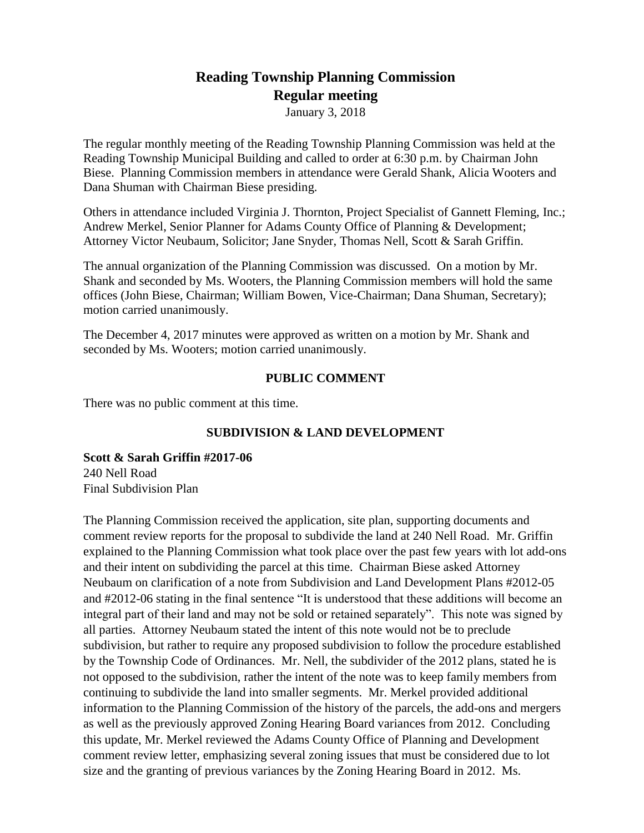# **Reading Township Planning Commission Regular meeting**

January 3, 2018

The regular monthly meeting of the Reading Township Planning Commission was held at the Reading Township Municipal Building and called to order at 6:30 p.m. by Chairman John Biese. Planning Commission members in attendance were Gerald Shank, Alicia Wooters and Dana Shuman with Chairman Biese presiding.

Others in attendance included Virginia J. Thornton, Project Specialist of Gannett Fleming, Inc.; Andrew Merkel, Senior Planner for Adams County Office of Planning & Development; Attorney Victor Neubaum, Solicitor; Jane Snyder, Thomas Nell, Scott & Sarah Griffin.

The annual organization of the Planning Commission was discussed. On a motion by Mr. Shank and seconded by Ms. Wooters, the Planning Commission members will hold the same offices (John Biese, Chairman; William Bowen, Vice-Chairman; Dana Shuman, Secretary); motion carried unanimously.

The December 4, 2017 minutes were approved as written on a motion by Mr. Shank and seconded by Ms. Wooters; motion carried unanimously.

# **PUBLIC COMMENT**

There was no public comment at this time.

# **SUBDIVISION & LAND DEVELOPMENT**

**Scott & Sarah Griffin #2017-06** 240 Nell Road Final Subdivision Plan

The Planning Commission received the application, site plan, supporting documents and comment review reports for the proposal to subdivide the land at 240 Nell Road. Mr. Griffin explained to the Planning Commission what took place over the past few years with lot add-ons and their intent on subdividing the parcel at this time. Chairman Biese asked Attorney Neubaum on clarification of a note from Subdivision and Land Development Plans #2012-05 and #2012-06 stating in the final sentence "It is understood that these additions will become an integral part of their land and may not be sold or retained separately". This note was signed by all parties. Attorney Neubaum stated the intent of this note would not be to preclude subdivision, but rather to require any proposed subdivision to follow the procedure established by the Township Code of Ordinances. Mr. Nell, the subdivider of the 2012 plans, stated he is not opposed to the subdivision, rather the intent of the note was to keep family members from continuing to subdivide the land into smaller segments. Mr. Merkel provided additional information to the Planning Commission of the history of the parcels, the add-ons and mergers as well as the previously approved Zoning Hearing Board variances from 2012. Concluding this update, Mr. Merkel reviewed the Adams County Office of Planning and Development comment review letter, emphasizing several zoning issues that must be considered due to lot size and the granting of previous variances by the Zoning Hearing Board in 2012. Ms.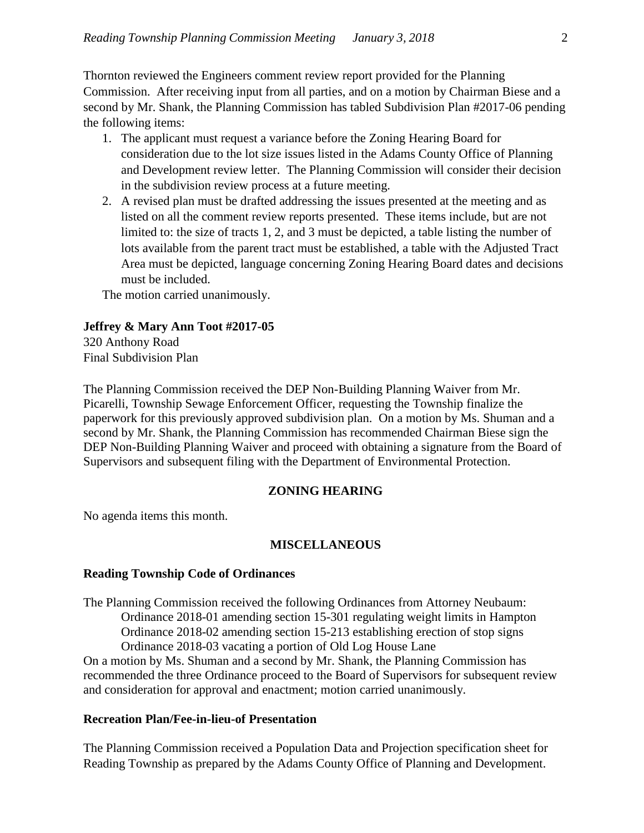Thornton reviewed the Engineers comment review report provided for the Planning Commission. After receiving input from all parties, and on a motion by Chairman Biese and a second by Mr. Shank, the Planning Commission has tabled Subdivision Plan #2017-06 pending the following items:

- 1. The applicant must request a variance before the Zoning Hearing Board for consideration due to the lot size issues listed in the Adams County Office of Planning and Development review letter. The Planning Commission will consider their decision in the subdivision review process at a future meeting.
- 2. A revised plan must be drafted addressing the issues presented at the meeting and as listed on all the comment review reports presented. These items include, but are not limited to: the size of tracts 1, 2, and 3 must be depicted, a table listing the number of lots available from the parent tract must be established, a table with the Adjusted Tract Area must be depicted, language concerning Zoning Hearing Board dates and decisions must be included.

The motion carried unanimously.

## **Jeffrey & Mary Ann Toot #2017-05**

320 Anthony Road Final Subdivision Plan

The Planning Commission received the DEP Non-Building Planning Waiver from Mr. Picarelli, Township Sewage Enforcement Officer, requesting the Township finalize the paperwork for this previously approved subdivision plan. On a motion by Ms. Shuman and a second by Mr. Shank, the Planning Commission has recommended Chairman Biese sign the DEP Non-Building Planning Waiver and proceed with obtaining a signature from the Board of Supervisors and subsequent filing with the Department of Environmental Protection.

## **ZONING HEARING**

No agenda items this month.

## **MISCELLANEOUS**

#### **Reading Township Code of Ordinances**

The Planning Commission received the following Ordinances from Attorney Neubaum: Ordinance 2018-01 amending section 15-301 regulating weight limits in Hampton Ordinance 2018-02 amending section 15-213 establishing erection of stop signs Ordinance 2018-03 vacating a portion of Old Log House Lane

On a motion by Ms. Shuman and a second by Mr. Shank, the Planning Commission has recommended the three Ordinance proceed to the Board of Supervisors for subsequent review and consideration for approval and enactment; motion carried unanimously.

## **Recreation Plan/Fee-in-lieu-of Presentation**

The Planning Commission received a Population Data and Projection specification sheet for Reading Township as prepared by the Adams County Office of Planning and Development.